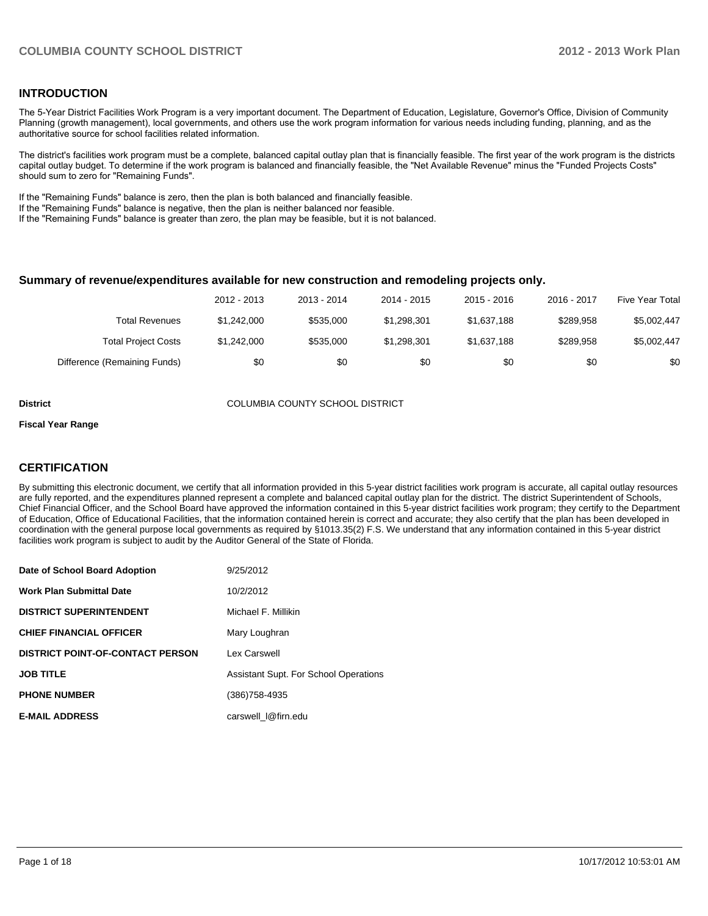### **INTRODUCTION**

The 5-Year District Facilities Work Program is a very important document. The Department of Education, Legislature, Governor's Office, Division of Community Planning (growth management), local governments, and others use the work program information for various needs including funding, planning, and as the authoritative source for school facilities related information.

The district's facilities work program must be a complete, balanced capital outlay plan that is financially feasible. The first year of the work program is the districts capital outlay budget. To determine if the work program is balanced and financially feasible, the "Net Available Revenue" minus the "Funded Projects Costs" should sum to zero for "Remaining Funds".

If the "Remaining Funds" balance is zero, then the plan is both balanced and financially feasible.

If the "Remaining Funds" balance is negative, then the plan is neither balanced nor feasible.

If the "Remaining Funds" balance is greater than zero, the plan may be feasible, but it is not balanced.

#### **Summary of revenue/expenditures available for new construction and remodeling projects only.**

|                              | 2012 - 2013 | 2013 - 2014 | 2014 - 2015 | $2015 - 2016$ | 2016 - 2017 | Five Year Total |
|------------------------------|-------------|-------------|-------------|---------------|-------------|-----------------|
| Total Revenues               | \$1,242,000 | \$535,000   | \$1.298.301 | \$1,637,188   | \$289.958   | \$5,002,447     |
| <b>Total Project Costs</b>   | \$1,242,000 | \$535,000   | \$1.298.301 | \$1,637,188   | \$289.958   | \$5,002,447     |
| Difference (Remaining Funds) | \$0         | \$0         | \$0         | \$0           | \$0         | \$0             |

**District** COLUMBIA COUNTY SCHOOL DISTRICT

#### **Fiscal Year Range**

### **CERTIFICATION**

By submitting this electronic document, we certify that all information provided in this 5-year district facilities work program is accurate, all capital outlay resources are fully reported, and the expenditures planned represent a complete and balanced capital outlay plan for the district. The district Superintendent of Schools, Chief Financial Officer, and the School Board have approved the information contained in this 5-year district facilities work program; they certify to the Department of Education, Office of Educational Facilities, that the information contained herein is correct and accurate; they also certify that the plan has been developed in coordination with the general purpose local governments as required by §1013.35(2) F.S. We understand that any information contained in this 5-year district facilities work program is subject to audit by the Auditor General of the State of Florida.

| Date of School Board Adoption           | 9/25/2012                             |
|-----------------------------------------|---------------------------------------|
| <b>Work Plan Submittal Date</b>         | 10/2/2012                             |
| <b>DISTRICT SUPERINTENDENT</b>          | Michael F. Millikin                   |
| <b>CHIEF FINANCIAL OFFICER</b>          | Mary Loughran                         |
| <b>DISTRICT POINT-OF-CONTACT PERSON</b> | Lex Carswell                          |
| <b>JOB TITLE</b>                        | Assistant Supt. For School Operations |
| <b>PHONE NUMBER</b>                     | (386) 758-4935                        |
| <b>E-MAIL ADDRESS</b>                   | carswell_I@firn.edu                   |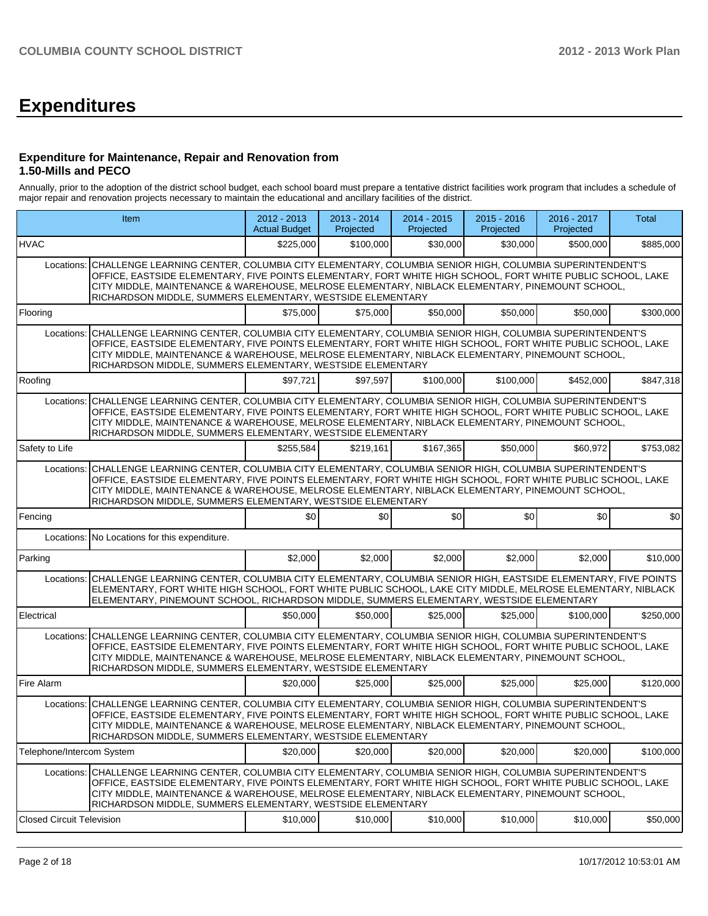# **Expenditures**

### **Expenditure for Maintenance, Repair and Renovation from 1.50-Mills and PECO**

Annually, prior to the adoption of the district school budget, each school board must prepare a tentative district facilities work program that includes a schedule of major repair and renovation projects necessary to maintain the educational and ancillary facilities of the district.

| Item                             |                                                                                                                                                                                                                                                                                                                                                                                      | 2012 - 2013<br><b>Actual Budget</b> | $2013 - 2014$<br>Projected | $2014 - 2015$<br>Projected | $2015 - 2016$<br>Projected | 2016 - 2017<br>Projected | Total     |
|----------------------------------|--------------------------------------------------------------------------------------------------------------------------------------------------------------------------------------------------------------------------------------------------------------------------------------------------------------------------------------------------------------------------------------|-------------------------------------|----------------------------|----------------------------|----------------------------|--------------------------|-----------|
| <b>HVAC</b>                      |                                                                                                                                                                                                                                                                                                                                                                                      | \$225,000                           | \$100,000                  | \$30,000                   | \$30,000                   | \$500,000                | \$885,000 |
| Locations:                       | CHALLENGE LEARNING CENTER, COLUMBIA CITY ELEMENTARY, COLUMBIA SENIOR HIGH, COLUMBIA SUPERINTENDENT'S<br>OFFICE, EASTSIDE ELEMENTARY, FIVE POINTS ELEMENTARY, FORT WHITE HIGH SCHOOL, FORT WHITE PUBLIC SCHOOL, LAKE<br>CITY MIDDLE, MAINTENANCE & WAREHOUSE, MELROSE ELEMENTARY, NIBLACK ELEMENTARY, PINEMOUNT SCHOOL,<br>RICHARDSON MIDDLE, SUMMERS ELEMENTARY, WESTSIDE ELEMENTARY |                                     |                            |                            |                            |                          |           |
| Flooring                         |                                                                                                                                                                                                                                                                                                                                                                                      | \$75,000                            | \$75,000                   | \$50,000                   | \$50,000                   | \$50,000                 | \$300,000 |
| Locations:                       | CHALLENGE LEARNING CENTER, COLUMBIA CITY ELEMENTARY, COLUMBIA SENIOR HIGH, COLUMBIA SUPERINTENDENT'S<br>OFFICE, EASTSIDE ELEMENTARY, FIVE POINTS ELEMENTARY, FORT WHITE HIGH SCHOOL, FORT WHITE PUBLIC SCHOOL, LAKE<br>CITY MIDDLE, MAINTENANCE & WAREHOUSE, MELROSE ELEMENTARY, NIBLACK ELEMENTARY, PINEMOUNT SCHOOL,<br>RICHARDSON MIDDLE, SUMMERS ELEMENTARY, WESTSIDE ELEMENTARY |                                     |                            |                            |                            |                          |           |
| Roofing                          |                                                                                                                                                                                                                                                                                                                                                                                      | \$97,721                            | \$97,597                   | \$100,000                  | \$100,000                  | \$452,000                | \$847,318 |
| Locations:                       | CHALLENGE LEARNING CENTER, COLUMBIA CITY ELEMENTARY, COLUMBIA SENIOR HIGH, COLUMBIA SUPERINTENDENT'S<br>OFFICE, EASTSIDE ELEMENTARY, FIVE POINTS ELEMENTARY, FORT WHITE HIGH SCHOOL, FORT WHITE PUBLIC SCHOOL, LAKE<br>CITY MIDDLE, MAINTENANCE & WAREHOUSE, MELROSE ELEMENTARY, NIBLACK ELEMENTARY, PINEMOUNT SCHOOL,<br>RICHARDSON MIDDLE, SUMMERS ELEMENTARY, WESTSIDE ELEMENTARY |                                     |                            |                            |                            |                          |           |
| Safety to Life                   |                                                                                                                                                                                                                                                                                                                                                                                      | \$255,584                           | \$219,161                  | \$167,365                  | \$50,000                   | \$60,972                 | \$753,082 |
| Locations:                       | CHALLENGE LEARNING CENTER, COLUMBIA CITY ELEMENTARY, COLUMBIA SENIOR HIGH, COLUMBIA SUPERINTENDENT'S<br>OFFICE, EASTSIDE ELEMENTARY, FIVE POINTS ELEMENTARY, FORT WHITE HIGH SCHOOL, FORT WHITE PUBLIC SCHOOL, LAKE<br>CITY MIDDLE, MAINTENANCE & WAREHOUSE, MELROSE ELEMENTARY, NIBLACK ELEMENTARY, PINEMOUNT SCHOOL,<br>RICHARDSON MIDDLE, SUMMERS ELEMENTARY, WESTSIDE ELEMENTARY |                                     |                            |                            |                            |                          |           |
| Fencing                          |                                                                                                                                                                                                                                                                                                                                                                                      | \$0                                 | \$0                        | \$0                        | \$0                        | \$0                      | \$0       |
|                                  | Locations: No Locations for this expenditure.                                                                                                                                                                                                                                                                                                                                        |                                     |                            |                            |                            |                          |           |
| Parking                          |                                                                                                                                                                                                                                                                                                                                                                                      | \$2,000                             | \$2,000                    | \$2,000                    | \$2,000                    | \$2,000                  | \$10,000  |
| Locations:                       | CHALLENGE LEARNING CENTER, COLUMBIA CITY ELEMENTARY, COLUMBIA SENIOR HIGH, EASTSIDE ELEMENTARY, FIVE POINTS<br>ELEMENTARY, FORT WHITE HIGH SCHOOL, FORT WHITE PUBLIC SCHOOL, LAKE CITY MIDDLE, MELROSE ELEMENTARY, NIBLACK<br>ELEMENTARY, PINEMOUNT SCHOOL, RICHARDSON MIDDLE, SUMMERS ELEMENTARY, WESTSIDE ELEMENTARY                                                               |                                     |                            |                            |                            |                          |           |
| Electrical                       |                                                                                                                                                                                                                                                                                                                                                                                      | \$50,000                            | \$50,000                   | \$25,000                   | \$25,000                   | \$100,000                | \$250,000 |
| Locations:                       | CHALLENGE LEARNING CENTER, COLUMBIA CITY ELEMENTARY, COLUMBIA SENIOR HIGH, COLUMBIA SUPERINTENDENT'S<br>OFFICE, EASTSIDE ELEMENTARY, FIVE POINTS ELEMENTARY, FORT WHITE HIGH SCHOOL, FORT WHITE PUBLIC SCHOOL, LAKE<br>CITY MIDDLE, MAINTENANCE & WAREHOUSE, MELROSE ELEMENTARY, NIBLACK ELEMENTARY, PINEMOUNT SCHOOL,<br>RICHARDSON MIDDLE, SUMMERS ELEMENTARY, WESTSIDE ELEMENTARY |                                     |                            |                            |                            |                          |           |
| Fire Alarm                       |                                                                                                                                                                                                                                                                                                                                                                                      | \$20,000                            | \$25,000                   | \$25,000                   | \$25,000                   | \$25,000                 | \$120,000 |
| Locations:                       | CHALLENGE LEARNING CENTER, COLUMBIA CITY ELEMENTARY, COLUMBIA SENIOR HIGH, COLUMBIA SUPERINTENDENT'S<br>OFFICE, EASTSIDE ELEMENTARY, FIVE POINTS ELEMENTARY, FORT WHITE HIGH SCHOOL, FORT WHITE PUBLIC SCHOOL, LAKE<br>CITY MIDDLE, MAINTENANCE & WAREHOUSE, MELROSE ELEMENTARY, NIBLACK ELEMENTARY, PINEMOUNT SCHOOL,<br>RICHARDSON MIDDLE, SUMMERS ELEMENTARY, WESTSIDE ELEMENTARY |                                     |                            |                            |                            |                          |           |
| Telephone/Intercom System        |                                                                                                                                                                                                                                                                                                                                                                                      | \$20,000                            | \$20,000                   | \$20,000                   | \$20,000                   | \$20,000                 | \$100,000 |
| Locations:                       | CHALLENGE LEARNING CENTER, COLUMBIA CITY ELEMENTARY, COLUMBIA SENIOR HIGH, COLUMBIA SUPERINTENDENT'S<br>OFFICE, EASTSIDE ELEMENTARY, FIVE POINTS ELEMENTARY, FORT WHITE HIGH SCHOOL, FORT WHITE PUBLIC SCHOOL, LAKE<br>CITY MIDDLE, MAINTENANCE & WAREHOUSE, MELROSE ELEMENTARY, NIBLACK ELEMENTARY, PINEMOUNT SCHOOL,<br>RICHARDSON MIDDLE, SUMMERS ELEMENTARY, WESTSIDE ELEMENTARY |                                     |                            |                            |                            |                          |           |
| <b>Closed Circuit Television</b> |                                                                                                                                                                                                                                                                                                                                                                                      | \$10,000                            | \$10,000                   | \$10,000                   | \$10,000                   | \$10,000                 | \$50,000  |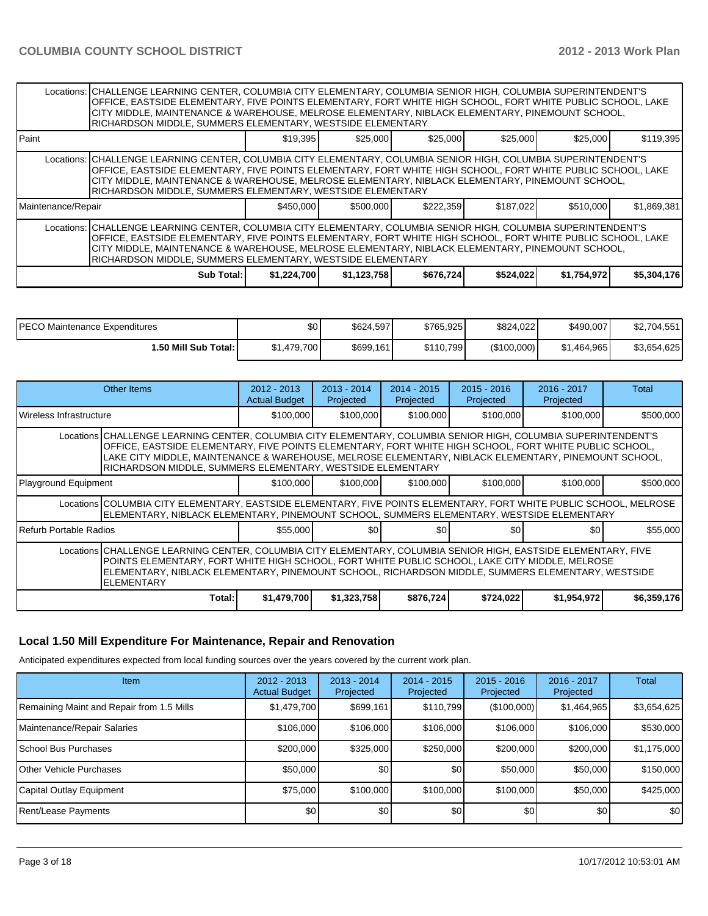|                                                                                                                                                                                                                                                                                                                                                                                                 | Locations:   CHALLENGE LEARNING CENTER, COLUMBIA CITY ELEMENTARY, COLUMBIA SENIOR HIGH, COLUMBIA SUPERINTENDENT'S<br>OFFICE, EASTSIDE ELEMENTARY, FIVE POINTS ELEMENTARY, FORT WHITE HIGH SCHOOL, FORT WHITE PUBLIC SCHOOL, LAKE<br>CITY MIDDLE, MAINTENANCE & WAREHOUSE, MELROSE ELEMENTARY, NIBLACK ELEMENTARY, PINEMOUNT SCHOOL,<br>RICHARDSON MIDDLE, SUMMERS ELEMENTARY, WESTSIDE ELEMENTARY |             |             |           |           |             |             |  |  |  |
|-------------------------------------------------------------------------------------------------------------------------------------------------------------------------------------------------------------------------------------------------------------------------------------------------------------------------------------------------------------------------------------------------|---------------------------------------------------------------------------------------------------------------------------------------------------------------------------------------------------------------------------------------------------------------------------------------------------------------------------------------------------------------------------------------------------|-------------|-------------|-----------|-----------|-------------|-------------|--|--|--|
| l Paint                                                                                                                                                                                                                                                                                                                                                                                         |                                                                                                                                                                                                                                                                                                                                                                                                   | \$19,395    | \$25,000    | \$25,000  | \$25,000  | \$25,000    | \$119,395   |  |  |  |
|                                                                                                                                                                                                                                                                                                                                                                                                 | Locations: CHALLENGE LEARNING CENTER, COLUMBIA CITY ELEMENTARY, COLUMBIA SENIOR HIGH, COLUMBIA SUPERINTENDENT'S<br>OFFICE, EASTSIDE ELEMENTARY, FIVE POINTS ELEMENTARY, FORT WHITE HIGH SCHOOL, FORT WHITE PUBLIC SCHOOL, LAKE<br>CITY MIDDLE, MAINTENANCE & WAREHOUSE, MELROSE ELEMENTARY, NIBLACK ELEMENTARY, PINEMOUNT SCHOOL,<br>RICHARDSON MIDDLE, SUMMERS ELEMENTARY, WESTSIDE ELEMENTARY   |             |             |           |           |             |             |  |  |  |
| Maintenance/Repair                                                                                                                                                                                                                                                                                                                                                                              |                                                                                                                                                                                                                                                                                                                                                                                                   | \$450,000   | \$500,000   | \$222,359 | \$187,022 | \$510,000   | \$1,869,381 |  |  |  |
| Locations: CHALLENGE LEARNING CENTER, COLUMBIA CITY ELEMENTARY, COLUMBIA SENIOR HIGH, COLUMBIA SUPERINTENDENT'S<br>OFFICE, EASTSIDE ELEMENTARY, FIVE POINTS ELEMENTARY, FORT WHITE HIGH SCHOOL, FORT WHITE PUBLIC SCHOOL, LAKE<br>CITY MIDDLE, MAINTENANCE & WAREHOUSE, MELROSE ELEMENTARY, NIBLACK ELEMENTARY, PINEMOUNT SCHOOL,<br>RICHARDSON MIDDLE, SUMMERS ELEMENTARY, WESTSIDE ELEMENTARY |                                                                                                                                                                                                                                                                                                                                                                                                   |             |             |           |           |             |             |  |  |  |
|                                                                                                                                                                                                                                                                                                                                                                                                 | <b>Sub Total:</b>                                                                                                                                                                                                                                                                                                                                                                                 | \$1,224,700 | \$1,123,758 | \$676,724 | \$524,022 | \$1,754,972 | \$5,304,176 |  |  |  |

| IPECO Maintenance Expenditures | ا \$0       | \$624,597 | \$765.925 | \$824,022   | \$490,007   | \$2,704,551 |
|--------------------------------|-------------|-----------|-----------|-------------|-------------|-------------|
| 1.50 Mill Sub Total: I         | \$1,479,700 | \$699,161 | \$110.799 | (\$100,000) | \$1.464.965 | \$3,654,625 |

|                                                                                                                                                                                                                                                                                                                                                                                                | Other Items                                                                                                                                                                                                                                                                                                                                | $2012 - 2013$<br><b>Actual Budget</b> | $2013 - 2014$<br>Projected | $2014 - 2015$<br>Projected | $2015 - 2016$<br>Projected | $2016 - 2017$<br>Projected | Total       |
|------------------------------------------------------------------------------------------------------------------------------------------------------------------------------------------------------------------------------------------------------------------------------------------------------------------------------------------------------------------------------------------------|--------------------------------------------------------------------------------------------------------------------------------------------------------------------------------------------------------------------------------------------------------------------------------------------------------------------------------------------|---------------------------------------|----------------------------|----------------------------|----------------------------|----------------------------|-------------|
| l Wireless Infrastructure                                                                                                                                                                                                                                                                                                                                                                      |                                                                                                                                                                                                                                                                                                                                            | \$100,000                             | \$100,000                  | \$100,000                  | \$100,000                  | \$100,000                  | \$500,000   |
| Locations CHALLENGE LEARNING CENTER, COLUMBIA CITY ELEMENTARY, COLUMBIA SENIOR HIGH, COLUMBIA SUPERINTENDENT'S<br>OFFICE, EASTSIDE ELEMENTARY, FIVE POINTS ELEMENTARY, FORT WHITE HIGH SCHOOL, FORT WHITE PUBLIC SCHOOL,<br>LAKE CITY MIDDLE, MAINTENANCE & WAREHOUSE, MELROSE ELEMENTARY, NIBLACK ELEMENTARY, PINEMOUNT SCHOOL,<br>RICHARDSON MIDDLE, SUMMERS ELEMENTARY, WESTSIDE ELEMENTARY |                                                                                                                                                                                                                                                                                                                                            |                                       |                            |                            |                            |                            |             |
| Playground Equipment                                                                                                                                                                                                                                                                                                                                                                           |                                                                                                                                                                                                                                                                                                                                            | \$100,000                             | \$100,000                  | \$100,000                  | \$100,000                  | \$100,000                  | \$500,000   |
|                                                                                                                                                                                                                                                                                                                                                                                                | Locations COLUMBIA CITY ELEMENTARY, EASTSIDE ELEMENTARY, FIVE POINTS ELEMENTARY, FORT WHITE PUBLIC SCHOOL, MELROSE<br>ELEMENTARY, NIBLACK ELEMENTARY, PINEMOUNT SCHOOL, SUMMERS ELEMENTARY, WESTSIDE ELEMENTARY                                                                                                                            |                                       |                            |                            |                            |                            |             |
| l Refurb Portable Radios                                                                                                                                                                                                                                                                                                                                                                       |                                                                                                                                                                                                                                                                                                                                            | \$55,000                              | \$0l                       | \$0                        | \$0                        | \$0                        | \$55,000    |
|                                                                                                                                                                                                                                                                                                                                                                                                | Locations CHALLENGE LEARNING CENTER, COLUMBIA CITY ELEMENTARY, COLUMBIA SENIOR HIGH, EASTSIDE ELEMENTARY, FIVE<br>POINTS ELEMENTARY, FORT WHITE HIGH SCHOOL, FORT WHITE PUBLIC SCHOOL, LAKE CITY MIDDLE, MELROSE<br>ELEMENTARY, NIBLACK ELEMENTARY, PINEMOUNT SCHOOL, RICHARDSON MIDDLE, SUMMERS ELEMENTARY, WESTSIDE<br><b>ELEMENTARY</b> |                                       |                            |                            |                            |                            |             |
|                                                                                                                                                                                                                                                                                                                                                                                                | Total:                                                                                                                                                                                                                                                                                                                                     | \$1,479,700                           | \$1,323,758                | \$876,724                  | \$724,022                  | \$1,954,972                | \$6,359,176 |

# **Local 1.50 Mill Expenditure For Maintenance, Repair and Renovation**

Anticipated expenditures expected from local funding sources over the years covered by the current work plan.

| Item                                      | $2012 - 2013$<br><b>Actual Budget</b> | $2013 - 2014$<br>Projected | 2014 - 2015<br>Projected | $2015 - 2016$<br>Projected | 2016 - 2017<br>Projected | Total       |
|-------------------------------------------|---------------------------------------|----------------------------|--------------------------|----------------------------|--------------------------|-------------|
| Remaining Maint and Repair from 1.5 Mills | \$1,479,700                           | \$699,161                  | \$110,799                | (\$100,000)                | \$1,464,965              | \$3,654,625 |
| Maintenance/Repair Salaries               | \$106,000                             | \$106,000                  | \$106,000                | \$106,000                  | \$106,000                | \$530,000   |
| School Bus Purchases                      | \$200,000                             | \$325,000                  | \$250,000                | \$200,000                  | \$200,000                | \$1,175,000 |
| Other Vehicle Purchases                   | \$50,000                              | \$0                        | \$0                      | \$50,000                   | \$50,000                 | \$150,000   |
| Capital Outlay Equipment                  | \$75,000                              | \$100,000                  | \$100,000                | \$100,000                  | \$50,000                 | \$425,000   |
| <b>Rent/Lease Payments</b>                | \$0                                   | \$0                        | \$0                      | \$0                        | \$0                      | \$0         |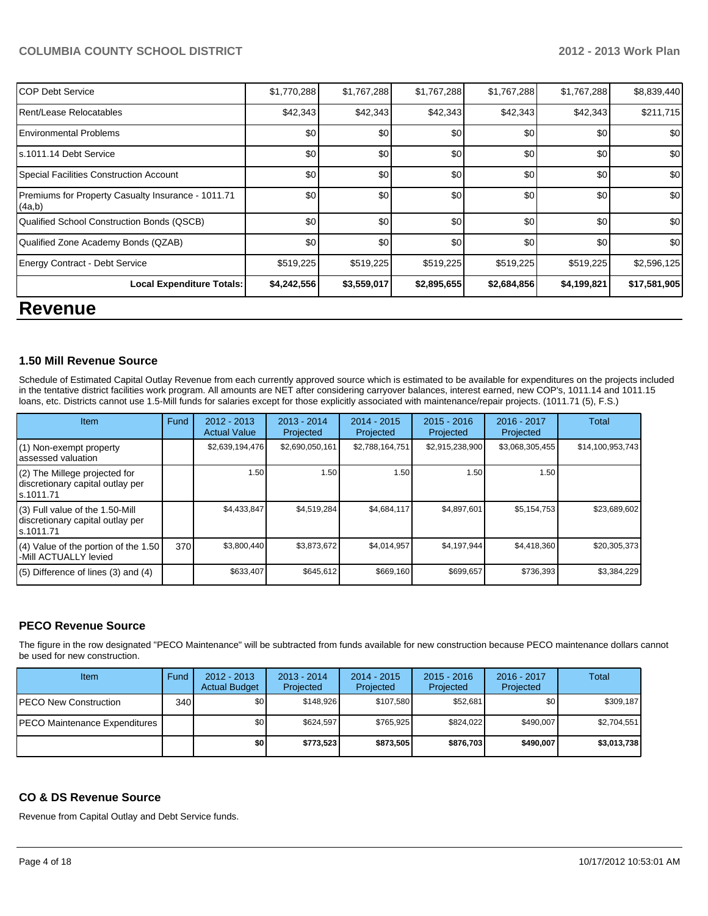## **COLUMBIA COUNTY SCHOOL DISTRICT 2012 - 2013 Work Plan**

| <b>Local Expenditure Totals:</b> | \$4,242,556                                                                                                                                                                        | \$3,559,017 | \$2,895,655 | \$2,684,856 | \$4,199,821                          | \$17,581,905 |
|----------------------------------|------------------------------------------------------------------------------------------------------------------------------------------------------------------------------------|-------------|-------------|-------------|--------------------------------------|--------------|
|                                  |                                                                                                                                                                                    |             |             |             |                                      |              |
|                                  | \$519,225                                                                                                                                                                          | \$519,225   |             | \$519,225   | \$519,225                            | \$2,596,125  |
|                                  | \$0                                                                                                                                                                                | \$0         | \$0         | \$0         | \$0                                  | \$0          |
|                                  | \$0                                                                                                                                                                                | \$0         | \$0         | \$0         | \$0                                  | \$0          |
|                                  | \$0                                                                                                                                                                                | \$0         | \$0         | \$0         | \$0                                  | \$0          |
|                                  | \$0                                                                                                                                                                                | \$0         | \$0         | \$0         | \$0                                  | \$0          |
|                                  | \$0                                                                                                                                                                                | \$0         | \$0         | \$0         | \$0                                  | \$0          |
|                                  | \$0                                                                                                                                                                                | \$0         | \$0         | \$0         | \$0                                  | \$0          |
|                                  |                                                                                                                                                                                    | \$42,343    |             | \$42,343    | \$42,343                             | \$211,715    |
|                                  | \$1,770,288                                                                                                                                                                        | \$1,767,288 |             | \$1,767,288 |                                      | \$8,839,440  |
|                                  | Special Facilities Construction Account<br>Premiums for Property Casualty Insurance - 1011.71<br>Qualified School Construction Bonds (QSCB)<br>Qualified Zone Academy Bonds (QZAB) |             | \$42,343    |             | \$1,767,288<br>\$42,343<br>\$519,225 | \$1,767,288  |

# **Revenue**

### **1.50 Mill Revenue Source**

Schedule of Estimated Capital Outlay Revenue from each currently approved source which is estimated to be available for expenditures on the projects included in the tentative district facilities work program. All amounts are NET after considering carryover balances, interest earned, new COP's, 1011.14 and 1011.15 loans, etc. Districts cannot use 1.5-Mill funds for salaries except for those explicitly associated with maintenance/repair projects. (1011.71 (5), F.S.)

| Item                                                                              | Fund | $2012 - 2013$<br><b>Actual Value</b> | $2013 - 2014$<br>Projected | $2014 - 2015$<br>Projected | $2015 - 2016$<br>Projected | $2016 - 2017$<br>Projected | Total            |
|-----------------------------------------------------------------------------------|------|--------------------------------------|----------------------------|----------------------------|----------------------------|----------------------------|------------------|
| (1) Non-exempt property<br>lassessed valuation                                    |      | \$2,639,194,476                      | \$2,690,050,161            | \$2,788,164,751            | \$2,915,238,900            | \$3,068,305,455            | \$14,100,953,743 |
| (2) The Millege projected for<br>discretionary capital outlay per<br>ls.1011.71   |      | 1.50                                 | 1.50 I                     | 1.50                       | 1.50                       | 1.50                       |                  |
| (3) Full value of the 1.50-Mill<br>discretionary capital outlay per<br>ls.1011.71 |      | \$4,433,847                          | \$4,519,284                | \$4,684,117                | \$4,897,601                | \$5,154,753                | \$23,689,602     |
| (4) Value of the portion of the 1.50<br>-Mill ACTUALLY levied                     | 370  | \$3,800,440                          | \$3,873,672                | \$4,014,957                | \$4,197,944                | \$4,418,360                | \$20,305,373     |
| $(5)$ Difference of lines (3) and (4)                                             |      | \$633,407                            | \$645,612                  | \$669,160                  | \$699,657                  | \$736,393                  | \$3,384,229      |

## **PECO Revenue Source**

The figure in the row designated "PECO Maintenance" will be subtracted from funds available for new construction because PECO maintenance dollars cannot be used for new construction.

| Item                                  | Fund | $2012 - 2013$<br><b>Actual Budget</b> | $2013 - 2014$<br>Projected | 2014 - 2015<br>Projected | $2015 - 2016$<br>Projected | $2016 - 2017$<br>Projected | Total       |
|---------------------------------------|------|---------------------------------------|----------------------------|--------------------------|----------------------------|----------------------------|-------------|
| <b>IPECO New Construction</b>         | 340  | \$0                                   | \$148.926                  | \$107.580                | \$52,681                   | \$0                        | \$309.187   |
| <b>IPECO Maintenance Expenditures</b> |      | \$0                                   | \$624.597                  | \$765.925                | \$824.022                  | \$490,007                  | \$2,704,551 |
|                                       |      | \$0                                   | \$773,523                  | \$873.505                | \$876.703                  | \$490.007                  | \$3,013,738 |

### **CO & DS Revenue Source**

Revenue from Capital Outlay and Debt Service funds.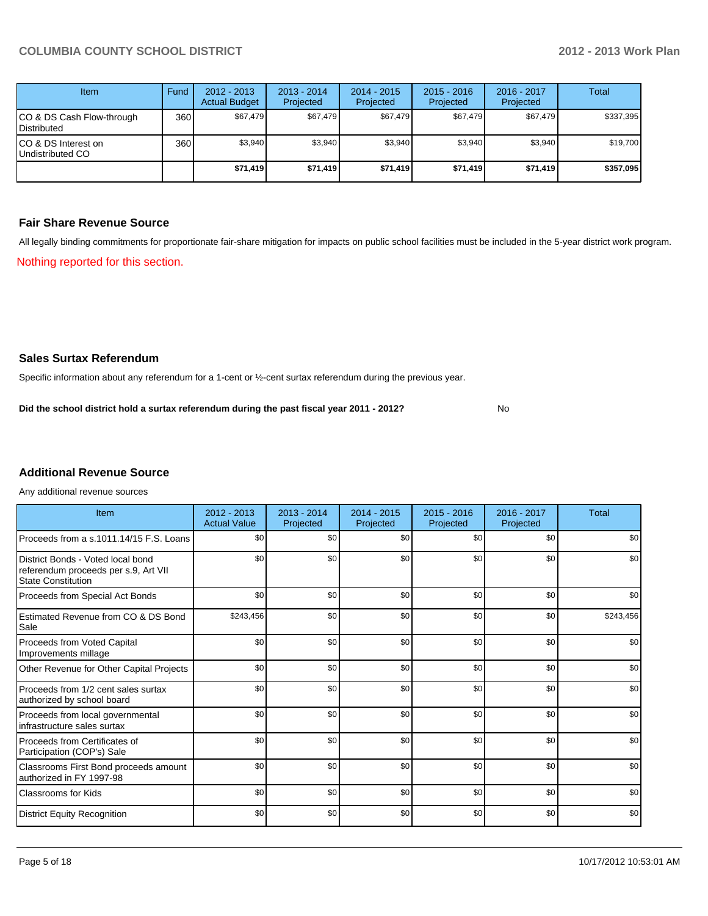| <b>Item</b>                                     | Fund | $2012 - 2013$<br><b>Actual Budget</b> | $2013 - 2014$<br>Projected | 2014 - 2015<br>Projected | $2015 - 2016$<br>Projected | $2016 - 2017$<br>Projected | Total     |
|-------------------------------------------------|------|---------------------------------------|----------------------------|--------------------------|----------------------------|----------------------------|-----------|
| CO & DS Cash Flow-through<br><b>Distributed</b> | 360  | \$67.479                              | \$67,479                   | \$67.479                 | \$67.479                   | \$67,479                   | \$337,395 |
| CO & DS Interest on<br>Undistributed CO         | 360  | \$3,940                               | \$3,940                    | \$3,940                  | \$3,940                    | \$3,940                    | \$19,700  |
|                                                 |      | \$71,419                              | \$71,419                   | \$71,419                 | \$71,419                   | \$71,419                   | \$357,095 |

### **Fair Share Revenue Source**

Nothing reported for this section. All legally binding commitments for proportionate fair-share mitigation for impacts on public school facilities must be included in the 5-year district work program.

### **Sales Surtax Referendum**

Specific information about any referendum for a 1-cent or ½-cent surtax referendum during the previous year.

No **Did the school district hold a surtax referendum during the past fiscal year 2011 - 2012?**

# **Additional Revenue Source**

Any additional revenue sources

| Item                                                                                                   | $2012 - 2013$<br><b>Actual Value</b> | $2013 - 2014$<br>Projected | $2014 - 2015$<br>Projected | $2015 - 2016$<br>Projected | 2016 - 2017<br>Projected | Total     |
|--------------------------------------------------------------------------------------------------------|--------------------------------------|----------------------------|----------------------------|----------------------------|--------------------------|-----------|
| Proceeds from a s.1011.14/15 F.S. Loans                                                                | \$0                                  | \$0                        | \$0                        | \$0                        | \$0                      | \$0       |
| District Bonds - Voted local bond<br>referendum proceeds per s.9, Art VII<br><b>State Constitution</b> | \$0                                  | \$0                        | \$0                        | \$0                        | \$0                      | \$0       |
| Proceeds from Special Act Bonds                                                                        | \$0                                  | \$0                        | \$0                        | \$0                        | \$0                      | \$0       |
| Estimated Revenue from CO & DS Bond<br>Sale                                                            | \$243,456                            | \$0                        | \$0                        | \$0                        | \$0                      | \$243,456 |
| <b>Proceeds from Voted Capital</b><br>Improvements millage                                             | \$0                                  | \$0                        | \$0                        | \$0                        | \$0                      | \$0       |
| Other Revenue for Other Capital Projects                                                               | \$0                                  | \$0                        | \$0                        | \$0                        | \$0                      | \$0       |
| Proceeds from 1/2 cent sales surtax<br>authorized by school board                                      | \$0                                  | \$0                        | \$0                        | \$0                        | \$0                      | \$0       |
| Proceeds from local governmental<br>infrastructure sales surtax                                        | \$0                                  | \$0                        | \$0                        | \$0                        | \$0                      | \$0       |
| Proceeds from Certificates of<br>Participation (COP's) Sale                                            | \$0                                  | \$0                        | \$0                        | \$0                        | \$0                      | \$0       |
| Classrooms First Bond proceeds amount<br>authorized in FY 1997-98                                      | \$0                                  | \$0                        | \$0                        | \$0                        | \$0                      | \$0       |
| Classrooms for Kids                                                                                    | \$0                                  | \$0                        | \$0                        | \$0                        | \$0                      | \$0       |
| <b>District Equity Recognition</b>                                                                     | \$0                                  | \$0                        | \$0                        | \$0                        | \$0                      | \$0       |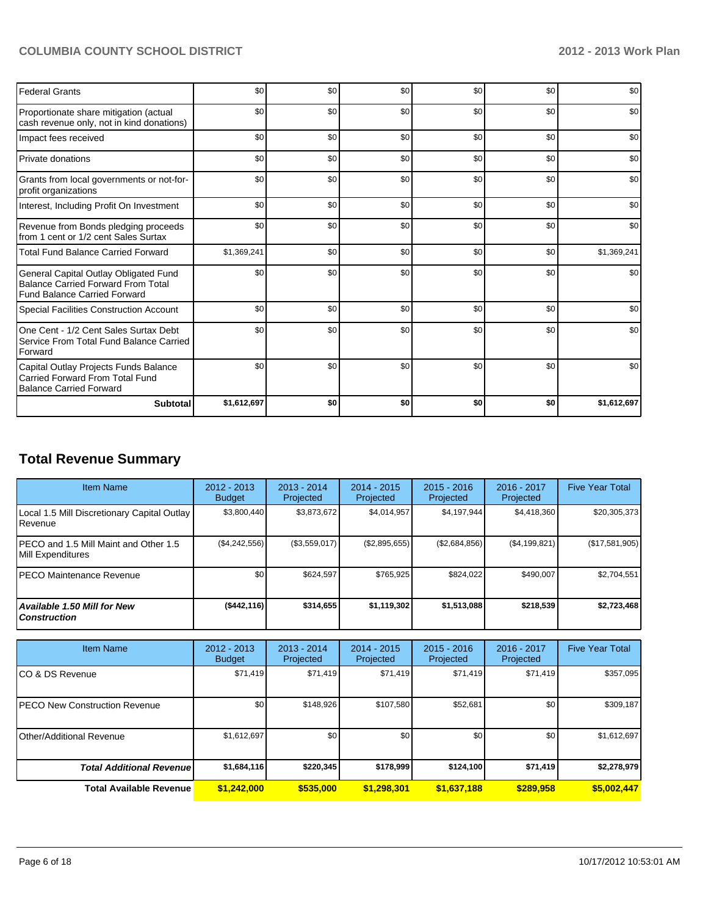# **COLUMBIA COUNTY SCHOOL DISTRICT 2012 - 2013 Work Plan**

| <b>Federal Grants</b>                                                                                                     | \$0         | \$0 | \$0 | \$0 | \$0 | \$0         |
|---------------------------------------------------------------------------------------------------------------------------|-------------|-----|-----|-----|-----|-------------|
| Proportionate share mitigation (actual<br>cash revenue only, not in kind donations)                                       | \$0         | \$0 | \$0 | \$0 | \$0 | \$0         |
| Impact fees received                                                                                                      | \$0         | \$0 | \$0 | \$0 | \$0 | \$0         |
| Private donations                                                                                                         | \$0         | \$0 | \$0 | \$0 | \$0 | \$0         |
| Grants from local governments or not-for-<br>profit organizations                                                         | \$0         | \$0 | \$0 | \$0 | \$0 | \$0         |
| Interest, Including Profit On Investment                                                                                  | \$0         | \$0 | \$0 | \$0 | \$0 | \$0         |
| Revenue from Bonds pledging proceeds<br>from 1 cent or 1/2 cent Sales Surtax                                              | \$0         | \$0 | \$0 | \$0 | \$0 | \$0         |
| <b>Total Fund Balance Carried Forward</b>                                                                                 | \$1,369,241 | \$0 | \$0 | \$0 | \$0 | \$1,369,241 |
| General Capital Outlay Obligated Fund<br><b>Balance Carried Forward From Total</b><br><b>Fund Balance Carried Forward</b> | \$0         | \$0 | \$0 | \$0 | \$0 | \$0         |
| <b>Special Facilities Construction Account</b>                                                                            | \$0         | \$0 | \$0 | \$0 | \$0 | \$0         |
| One Cent - 1/2 Cent Sales Surtax Debt<br>Service From Total Fund Balance Carried<br>Forward                               | \$0         | \$0 | \$0 | \$0 | \$0 | \$0         |
| Capital Outlay Projects Funds Balance<br>Carried Forward From Total Fund<br><b>Balance Carried Forward</b>                | \$0         | \$0 | \$0 | \$0 | \$0 | \$0         |
| <b>Subtotal</b>                                                                                                           | \$1,612,697 | \$0 | \$0 | \$0 | \$0 | \$1,612,697 |

# **Total Revenue Summary**

| <b>Item Name</b>                                           | $2012 - 2013$<br><b>Budget</b> | $2013 - 2014$<br>Projected | $2014 - 2015$<br>Projected | $2015 - 2016$<br>Projected | $2016 - 2017$<br>Projected | <b>Five Year Total</b> |
|------------------------------------------------------------|--------------------------------|----------------------------|----------------------------|----------------------------|----------------------------|------------------------|
| Local 1.5 Mill Discretionary Capital Outlay<br>Revenue     | \$3.800.440                    | \$3,873,672                | \$4.014.957                | \$4,197,944                | \$4,418,360                | \$20,305,373           |
| PECO and 1.5 Mill Maint and Other 1.5<br>Mill Expenditures | (\$4,242,556)                  | (\$3,559,017)              | (\$2,895,655)              | (S2,684,856)               | (\$4,199,821)              | (\$17,581,905)         |
| IPECO Maintenance Revenue                                  | \$0                            | \$624,597                  | \$765.925                  | \$824.022                  | \$490,007                  | \$2,704,551            |
| <b>Available 1.50 Mill for New</b><br><b>Construction</b>  | ( \$442, 116)                  | \$314,655                  | \$1,119,302                | \$1,513,088                | \$218,539                  | \$2,723,468            |

| <b>Item Name</b>                 | 2012 - 2013<br><b>Budget</b> | $2013 - 2014$<br>Projected | $2014 - 2015$<br>Projected | $2015 - 2016$<br>Projected | 2016 - 2017<br>Projected | <b>Five Year Total</b> |
|----------------------------------|------------------------------|----------------------------|----------------------------|----------------------------|--------------------------|------------------------|
| ICO & DS Revenue                 | \$71,419                     | \$71.419                   | \$71.419                   | \$71,419                   | \$71,419                 | \$357,095              |
| IPECO New Construction Revenue   | \$0                          | \$148,926                  | \$107,580                  | \$52,681                   | \$0                      | \$309,187              |
| Other/Additional Revenue         | \$1,612,697                  | \$0                        | \$0                        | \$0                        | \$0                      | \$1,612,697            |
| <b>Total Additional Revenuel</b> | \$1,684,116                  | \$220,345                  | \$178,999'                 | \$124,100                  | \$71,419                 | \$2,278,979            |
| <b>Total Available Revenue</b>   | \$1,242,000                  | \$535,000                  | \$1,298,301                | \$1,637,188                | \$289.958                | \$5,002,447            |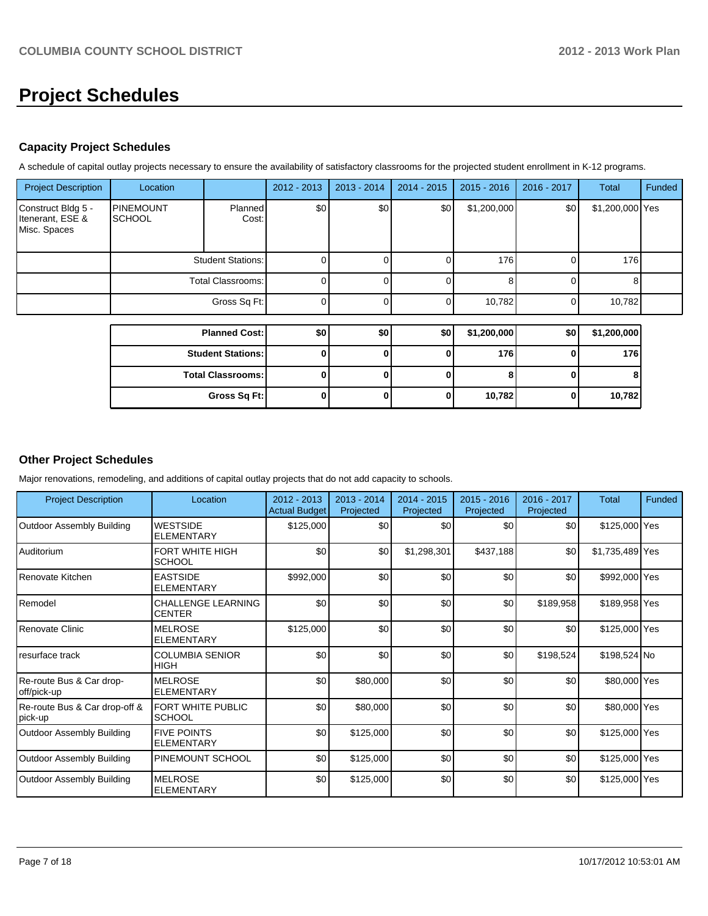# **Project Schedules**

### **Capacity Project Schedules**

A schedule of capital outlay projects necessary to ensure the availability of satisfactory classrooms for the projected student enrollment in K-12 programs.

| <b>Project Description</b>                             | Location                          |                          | 2012 - 2013 | $2013 - 2014$ | $2014 - 2015$  | $2015 - 2016$ | 2016 - 2017 | Total           | Funded |
|--------------------------------------------------------|-----------------------------------|--------------------------|-------------|---------------|----------------|---------------|-------------|-----------------|--------|
| Construct Bldg 5 -<br>Itenerant, ESE &<br>Misc. Spaces | <b>PINEMOUNT</b><br><b>SCHOOL</b> | Planned<br>Cost:         | \$0         | \$0           | \$0            | \$1,200,000   | \$0         | \$1,200,000 Yes |        |
|                                                        |                                   | <b>Student Stations:</b> |             |               |                | 176           |             | 176             |        |
|                                                        |                                   | Total Classrooms:        |             |               |                |               |             |                 |        |
|                                                        |                                   | Gross Sq Ft:             |             |               |                | 10,782        |             | 10,782          |        |
|                                                        | <b>Planned Cost:</b>              | sn l                     | sn I        | sn I          | -\$1.200.000 l | \$0 L         | \$1,200,000 |                 |        |

| <b>Planned Cost:</b>     | \$0 | \$0 | \$0 I | \$1,200,000 | \$0 | \$1,200,000 |
|--------------------------|-----|-----|-------|-------------|-----|-------------|
| <b>Student Stations:</b> |     |     |       | 176         |     | 176         |
| <b>Total Classrooms:</b> |     |     |       |             |     |             |
| Gross Sq Ft:             |     |     |       | 10,782      |     | 10,782      |

## **Other Project Schedules**

Major renovations, remodeling, and additions of capital outlay projects that do not add capacity to schools.

| <b>Project Description</b>               | Location                                   | $2012 - 2013$<br><b>Actual Budget</b> | 2013 - 2014<br>Projected | $2014 - 2015$<br>Projected | $2015 - 2016$<br>Projected | 2016 - 2017<br>Projected | <b>Total</b>    | Funded |
|------------------------------------------|--------------------------------------------|---------------------------------------|--------------------------|----------------------------|----------------------------|--------------------------|-----------------|--------|
| <b>Outdoor Assembly Building</b>         | <b>WESTSIDE</b><br><b>ELEMENTARY</b>       | \$125,000                             | \$0                      | \$0                        | \$0                        | \$0                      | \$125,000 Yes   |        |
| l Auditorium                             | FORT WHITE HIGH<br><b>SCHOOL</b>           | \$0                                   | \$0                      | \$1,298,301                | \$437,188                  | \$0                      | \$1,735,489 Yes |        |
| Renovate Kitchen                         | <b>EASTSIDE</b><br><b>ELEMENTARY</b>       | \$992,000                             | \$0                      | \$0                        | \$0                        | \$0                      | \$992,000 Yes   |        |
| Remodel                                  | <b>CHALLENGE LEARNING</b><br><b>CENTER</b> | \$0                                   | \$0                      | \$0                        | \$0                        | \$189,958                | \$189,958 Yes   |        |
| Renovate Clinic                          | <b>MELROSE</b><br><b>ELEMENTARY</b>        | \$125,000                             | \$0                      | \$0                        | \$0                        | \$0                      | \$125,000 Yes   |        |
| resurface track                          | <b>COLUMBIA SENIOR</b><br>HIGH             | \$0                                   | \$0                      | \$0                        | \$0                        | \$198,524                | \$198,524 No    |        |
| Re-route Bus & Car drop-<br>off/pick-up  | <b>MELROSE</b><br><b>ELEMENTARY</b>        | \$0                                   | \$80,000                 | \$0                        | \$0                        | \$0                      | \$80,000 Yes    |        |
| Re-route Bus & Car drop-off &<br>pick-up | <b>FORT WHITE PUBLIC</b><br><b>SCHOOL</b>  | \$0                                   | \$80,000                 | \$0                        | \$0                        | \$0                      | \$80,000 Yes    |        |
| Outdoor Assembly Building                | <b>FIVE POINTS</b><br><b>ELEMENTARY</b>    | \$0                                   | \$125,000                | \$0                        | \$0                        | \$0                      | \$125,000 Yes   |        |
| <b>Outdoor Assembly Building</b>         | PINEMOUNT SCHOOL                           | \$0                                   | \$125,000                | \$0                        | \$0                        | \$0                      | \$125,000 Yes   |        |
| Outdoor Assembly Building                | <b>MELROSE</b><br><b>ELEMENTARY</b>        | \$0                                   | \$125,000                | \$0                        | \$0                        | \$0                      | \$125,000 Yes   |        |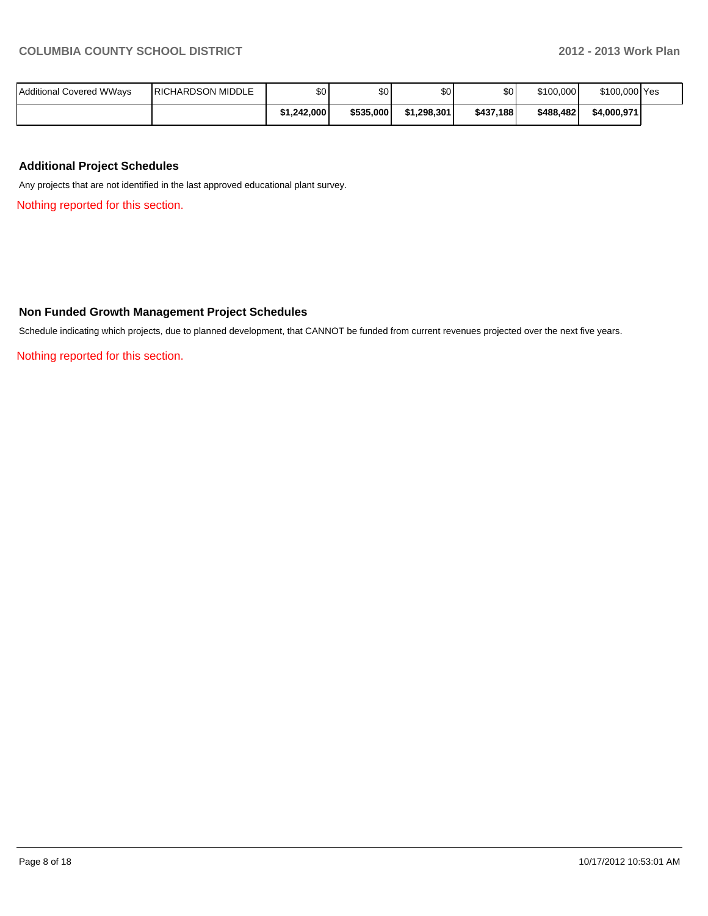| <b>Additional Covered WWavs</b> | <b>IRICHARDSON MIDDLE</b> | \$0         | \$0 <sub>1</sub> | \$0         | \$0 <sub>1</sub> | \$100,000 | \$100,000 Yes |  |
|---------------------------------|---------------------------|-------------|------------------|-------------|------------------|-----------|---------------|--|
|                                 |                           | \$1.242.000 | \$535,000        | \$1,298,301 | \$437,188        | \$488,482 | \$4,000,971   |  |

### **Additional Project Schedules**

Any projects that are not identified in the last approved educational plant survey.

Nothing reported for this section.

### **Non Funded Growth Management Project Schedules**

Schedule indicating which projects, due to planned development, that CANNOT be funded from current revenues projected over the next five years.

Nothing reported for this section.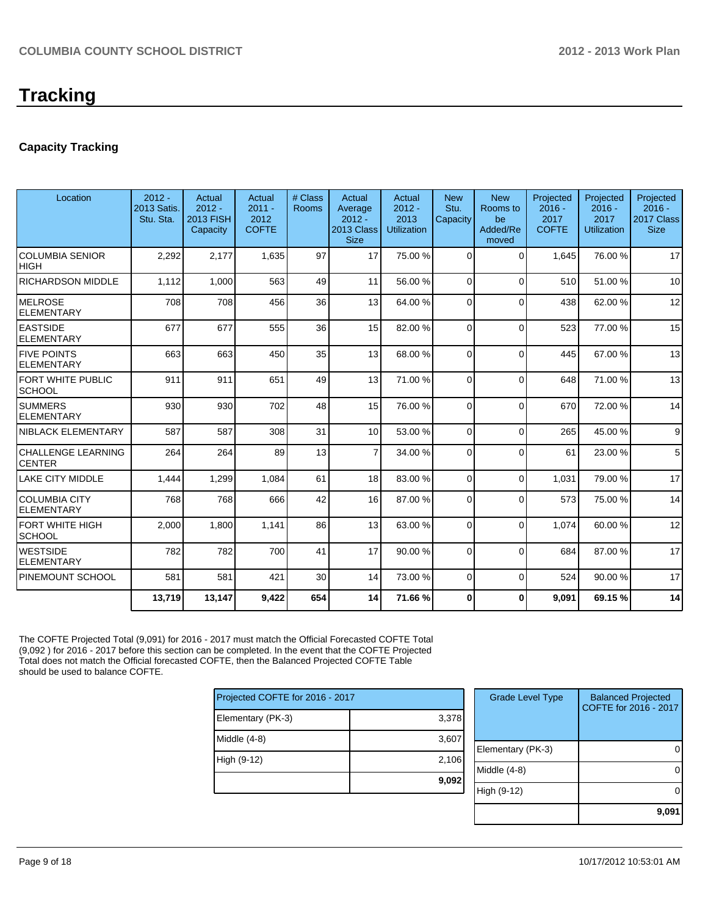# **Tracking**

# **Capacity Tracking**

| Location                                   | $2012 -$<br>2013 Satis.<br>Stu. Sta. | Actual<br>$2012 -$<br><b>2013 FISH</b><br>Capacity | Actual<br>$2011 -$<br>2012<br><b>COFTE</b> | # Class<br><b>Rooms</b> | Actual<br>Average<br>$2012 -$<br>2013 Class<br><b>Size</b> | Actual<br>$2012 -$<br>2013<br>Utilization | <b>New</b><br>Stu.<br>Capacity | <b>New</b><br>Rooms to<br>be<br>Added/Re<br>moved | Projected<br>$2016 -$<br>2017<br><b>COFTE</b> | Projected<br>$2016 -$<br>2017<br>Utilization | Projected<br>$2016 -$<br>2017 Class<br><b>Size</b> |
|--------------------------------------------|--------------------------------------|----------------------------------------------------|--------------------------------------------|-------------------------|------------------------------------------------------------|-------------------------------------------|--------------------------------|---------------------------------------------------|-----------------------------------------------|----------------------------------------------|----------------------------------------------------|
| <b>COLUMBIA SENIOR</b><br><b>HIGH</b>      | 2,292                                | 2,177                                              | 1,635                                      | 97                      | 17                                                         | 75.00 %                                   | $\Omega$                       | $\Omega$                                          | 1,645                                         | 76.00 %                                      | 17                                                 |
| <b>RICHARDSON MIDDLE</b>                   | 1,112                                | 1,000                                              | 563                                        | 49                      | 11                                                         | 56.00 %                                   | $\overline{0}$                 | $\Omega$                                          | 510                                           | 51.00%                                       | 10                                                 |
| <b>MELROSE</b><br><b>ELEMENTARY</b>        | 708                                  | 708                                                | 456                                        | 36                      | 13                                                         | 64.00 %                                   | $\Omega$                       | $\Omega$                                          | 438                                           | 62.00%                                       | 12                                                 |
| <b>EASTSIDE</b><br><b>ELEMENTARY</b>       | 677                                  | 677                                                | 555                                        | 36                      | 15                                                         | 82.00 %                                   | $\Omega$                       | $\Omega$                                          | 523                                           | 77.00 %                                      | 15                                                 |
| <b>FIVE POINTS</b><br><b>ELEMENTARY</b>    | 663                                  | 663                                                | 450                                        | 35                      | 13                                                         | 68.00 %                                   | $\Omega$                       | $\Omega$                                          | 445                                           | 67.00 %                                      | 13                                                 |
| <b>FORT WHITE PUBLIC</b><br>SCHOOL         | 911                                  | 911                                                | 651                                        | 49                      | 13                                                         | 71.00 %                                   | $\Omega$                       | $\Omega$                                          | 648                                           | 71.00 %                                      | 13                                                 |
| <b>SUMMERS</b><br><b>ELEMENTARY</b>        | 930                                  | 930                                                | 702                                        | 48                      | 15                                                         | 76.00 %                                   | $\Omega$                       | $\Omega$                                          | 670                                           | 72.00 %                                      | 14                                                 |
| NIBLACK ELEMENTARY                         | 587                                  | 587                                                | 308                                        | 31                      | 10 <sup>1</sup>                                            | 53.00 %                                   | $\Omega$                       | $\Omega$                                          | 265                                           | 45.00 %                                      | 9                                                  |
| <b>CHALLENGE LEARNING</b><br><b>CENTER</b> | 264                                  | 264                                                | 89                                         | 13                      | $\overline{7}$                                             | 34.00 %                                   | $\Omega$                       | $\Omega$                                          | 61                                            | 23.00 %                                      | 5                                                  |
| <b>LAKE CITY MIDDLE</b>                    | 1,444                                | 1,299                                              | 1,084                                      | 61                      | 18                                                         | 83.00 %                                   | $\Omega$                       | $\Omega$                                          | 1,031                                         | 79.00 %                                      | 17                                                 |
| <b>COLUMBIA CITY</b><br><b>ELEMENTARY</b>  | 768                                  | 768                                                | 666                                        | 42                      | 16                                                         | 87.00 %                                   | $\Omega$                       | $\Omega$                                          | 573                                           | 75.00 %                                      | 14                                                 |
| FORT WHITE HIGH<br><b>SCHOOL</b>           | 2,000                                | 1,800                                              | 1,141                                      | 86                      | 13                                                         | 63.00 %                                   | $\Omega$                       | $\Omega$                                          | 1,074                                         | 60.00%                                       | 12                                                 |
| <b>WESTSIDE</b><br><b>ELEMENTARY</b>       | 782                                  | 782                                                | 700                                        | 41                      | 17                                                         | 90.00 %                                   | $\Omega$                       | $\Omega$                                          | 684                                           | 87.00%                                       | 17                                                 |
| <b>PINEMOUNT SCHOOL</b>                    | 581                                  | 581                                                | 421                                        | 30                      | 14                                                         | 73.00 %                                   | $\overline{0}$                 | $\Omega$                                          | 524                                           | 90.00 %                                      | 17                                                 |
|                                            | 13,719                               | 13,147                                             | 9,422                                      | 654                     | 14                                                         | 71.66 %                                   | 0                              | $\bf{0}$                                          | 9,091                                         | 69.15%                                       | 14                                                 |
|                                            |                                      |                                                    |                                            |                         |                                                            |                                           |                                |                                                   |                                               |                                              |                                                    |

The COFTE Projected Total (9,091) for 2016 - 2017 must match the Official Forecasted COFTE Total (9,092 ) for 2016 - 2017 before this section can be completed. In the event that the COFTE Projected Total does not match the Official forecasted COFTE, then the Balanced Projected COFTE Table should be used to balance COFTE.

| Projected COFTE for 2016 - 2017 |       |  |  |  |  |  |
|---------------------------------|-------|--|--|--|--|--|
| Elementary (PK-3)               | 3,378 |  |  |  |  |  |
| Middle $(4-8)$                  | 3,607 |  |  |  |  |  |
| High (9-12)                     | 2,106 |  |  |  |  |  |
|                                 | 9,092 |  |  |  |  |  |
|                                 |       |  |  |  |  |  |

| <b>Grade Level Type</b> | <b>Balanced Projected</b><br>COFTE for 2016 - 2017 |
|-------------------------|----------------------------------------------------|
|                         |                                                    |
|                         |                                                    |
| Elementary (PK-3)       |                                                    |
| Middle $(4-8)$          |                                                    |
| High (9-12)             |                                                    |
|                         | 9.09                                               |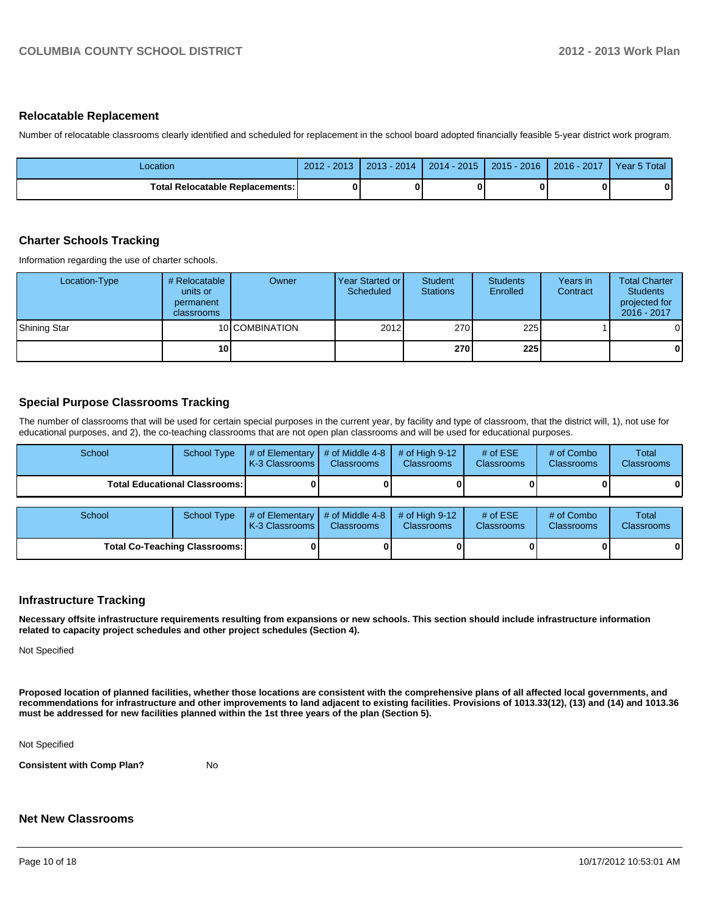#### **Relocatable Replacement**

Number of relocatable classrooms clearly identified and scheduled for replacement in the school board adopted financially feasible 5-year district work program.

| Location                          | $-2013$<br>$2012 -$ | $2013 - 2014$ | $2014 - 2015$ | 2015 - 2016 | 2016 - 2017 | Year 5 Total |
|-----------------------------------|---------------------|---------------|---------------|-------------|-------------|--------------|
| Total Relocatable Replacements: I |                     |               |               |             |             | 0            |

### **Charter Schools Tracking**

Information regarding the use of charter schools.

| Location-Type | # Relocatable  <br>units or<br>permanent<br>classrooms | Owner          | Year Started or<br>Scheduled | Student<br><b>Stations</b> | <b>Students</b><br>Enrolled | Years in<br>Contract | <b>Total Charter</b><br><b>Students</b><br>projected for<br>$2016 - 2017$ |
|---------------|--------------------------------------------------------|----------------|------------------------------|----------------------------|-----------------------------|----------------------|---------------------------------------------------------------------------|
| Shining Star  |                                                        | 10 COMBINATION | 2012                         | 270                        | 225 <sup>1</sup>            |                      | $\overline{0}$                                                            |
|               | 10 l                                                   |                |                              | <b>270</b>                 | 225                         |                      | $\mathbf{0}$                                                              |

### **Special Purpose Classrooms Tracking**

The number of classrooms that will be used for certain special purposes in the current year, by facility and type of classroom, that the district will, 1), not use for educational purposes, and 2), the co-teaching classrooms that are not open plan classrooms and will be used for educational purposes.

| School                                 | <b>School Type</b> | # of Elementary<br>K-3 Classrooms I | # of Middle 4-8<br><b>Classrooms</b> | # of High $9-12$<br><b>Classrooms</b> | # of $ESE$<br><b>Classrooms</b> | # of Combo<br>Classrooms | Total<br>Classrooms |
|----------------------------------------|--------------------|-------------------------------------|--------------------------------------|---------------------------------------|---------------------------------|--------------------------|---------------------|
| <b>Total Educational Classrooms: I</b> |                    |                                     |                                      |                                       |                                 |                          |                     |
| School                                 | <b>School Type</b> | # of Elementary<br>K-3 Classrooms I | # of Middle 4-8<br><b>Classrooms</b> | # of High $9-12$<br><b>Classrooms</b> | # of $ESE$<br><b>Classrooms</b> | # of Combo<br>Classrooms | Total<br>Classrooms |
| <b>Total Co-Teaching Classrooms:</b>   |                    |                                     |                                      |                                       |                                 |                          | 01                  |

#### **Infrastructure Tracking**

**Necessary offsite infrastructure requirements resulting from expansions or new schools. This section should include infrastructure information related to capacity project schedules and other project schedules (Section 4).**

Not Specified

**Proposed location of planned facilities, whether those locations are consistent with the comprehensive plans of all affected local governments, and recommendations for infrastructure and other improvements to land adjacent to existing facilities. Provisions of 1013.33(12), (13) and (14) and 1013.36 must be addressed for new facilities planned within the 1st three years of the plan (Section 5).**

Not Specified

**Consistent with Comp Plan?** No

### **Net New Classrooms**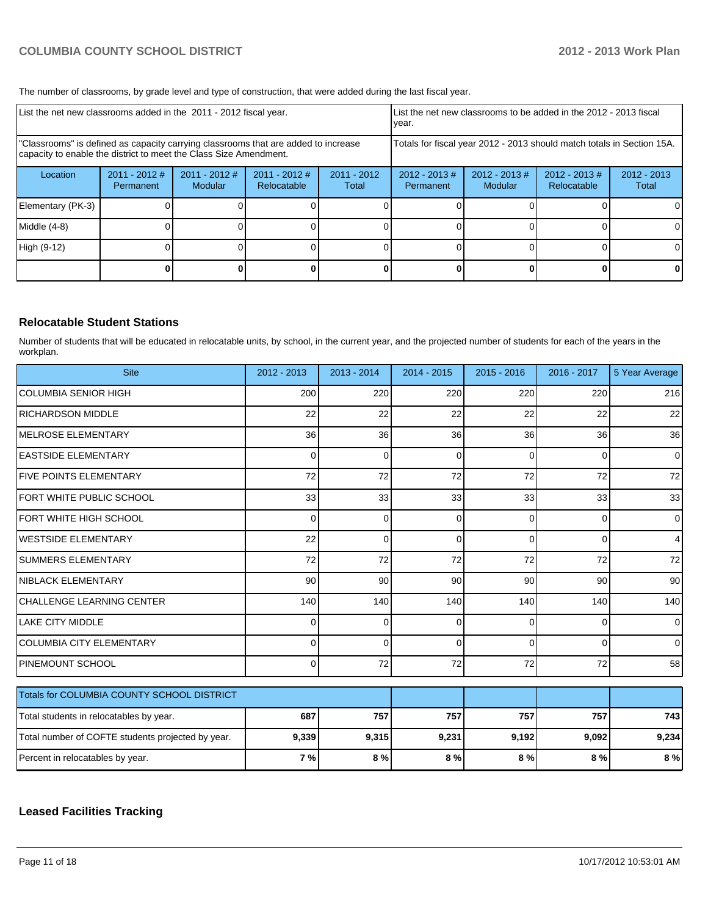The number of classrooms, by grade level and type of construction, that were added during the last fiscal year.

| List the net new classrooms added in the 2011 - 2012 fiscal year.                                                                                       |                              |                          |                                |                                                                        | List the net new classrooms to be added in the 2012 - 2013 fiscal<br>Ivear. |                            |                              |                        |
|---------------------------------------------------------------------------------------------------------------------------------------------------------|------------------------------|--------------------------|--------------------------------|------------------------------------------------------------------------|-----------------------------------------------------------------------------|----------------------------|------------------------------|------------------------|
| "Classrooms" is defined as capacity carrying classrooms that are added to increase<br>capacity to enable the district to meet the Class Size Amendment. |                              |                          |                                | Totals for fiscal year 2012 - 2013 should match totals in Section 15A. |                                                                             |                            |                              |                        |
| Location                                                                                                                                                | $2011 - 2012$ #<br>Permanent | 2011 - 2012 #<br>Modular | $2011 - 2012$ #<br>Relocatable | $2011 - 2012$<br>Total                                                 | $2012 - 2013$ #<br>Permanent                                                | $2012 - 2013$ #<br>Modular | 2012 - 2013 #<br>Relocatable | $2012 - 2013$<br>Total |
| Elementary (PK-3)                                                                                                                                       |                              |                          |                                |                                                                        |                                                                             |                            |                              | 0                      |
| Middle (4-8)                                                                                                                                            |                              |                          |                                |                                                                        |                                                                             |                            |                              | 0                      |
| High (9-12)                                                                                                                                             |                              |                          |                                |                                                                        |                                                                             |                            |                              | $\Omega$               |
|                                                                                                                                                         |                              |                          |                                |                                                                        |                                                                             |                            |                              | 0                      |

### **Relocatable Student Stations**

Number of students that will be educated in relocatable units, by school, in the current year, and the projected number of students for each of the years in the workplan.

| <b>Site</b>                                       | 2012 - 2013 | 2013 - 2014 | $2014 - 2015$   | $2015 - 2016$ | 2016 - 2017 | 5 Year Average |
|---------------------------------------------------|-------------|-------------|-----------------|---------------|-------------|----------------|
| İCOLUMBIA SENIOR HIGH                             | 200         | 220         | 220             | 220           | 220         | 216            |
| <b>RICHARDSON MIDDLE</b>                          | 22          | 22          | 22              | 22            | 22          | 22             |
| IMELROSE ELEMENTARY                               | 36          | 36          | 36              | 36            | 36          | 36             |
| <b>EASTSIDE ELEMENTARY</b>                        | $\Omega$    | 0           | $\mathbf{0}$    | $\Omega$      | $\Omega$    | $\Omega$       |
| <b>IFIVE POINTS ELEMENTARY</b>                    | 72          | 72          | 72              | 72            | 72          | 72             |
| FORT WHITE PUBLIC SCHOOL                          | 33          | 33          | 33              | 33            | 33          | 33             |
| FORT WHITE HIGH SCHOOL                            | $\Omega$    | 0           | 0               | $\Omega$      | 0           | 0              |
| <b>I</b> WESTSIDE ELEMENTARY                      | 22          | 0           | $\Omega$        | $\Omega$      | $\Omega$    | 4              |
| <b>I</b> SUMMERS ELEMENTARY                       | 72          | 72          | 72              | 72            | 72          | 72             |
| INIBLACK ELEMENTARY                               | 90          | 90          | 90 <sup>°</sup> | 90            | 90          | 90             |
| ICHALLENGE LEARNING CENTER                        | 140         | 140         | 140             | 140           | 140         | 140            |
| <b>LAKE CITY MIDDLE</b>                           | $\Omega$    | 0           | 0               | ∩             | $\Omega$    | 0              |
| COLUMBIA CITY ELEMENTARY                          | $\Omega$    | 0           | 0               | ∩             | $\Omega$    | 0              |
| PINEMOUNT SCHOOL                                  | $\Omega$    | 72          | 72              | 72            | 72          | 58             |
| Totals for COLUMBIA COUNTY SCHOOL DISTRICT        |             |             |                 |               |             |                |
|                                                   | 757         | 757         | 757             | 757           | 743         |                |
| Total students in relocatables by year.           | 687         |             |                 |               |             |                |
| Total number of COFTE students projected by year. | 9,339       | 9,315       | 9,231           | 9,192         | 9,092       | 9,234          |
| Percent in relocatables by year.                  | 7%          | 8%          | 8%              | 8%            | 8%          | 8 %            |

## **Leased Facilities Tracking**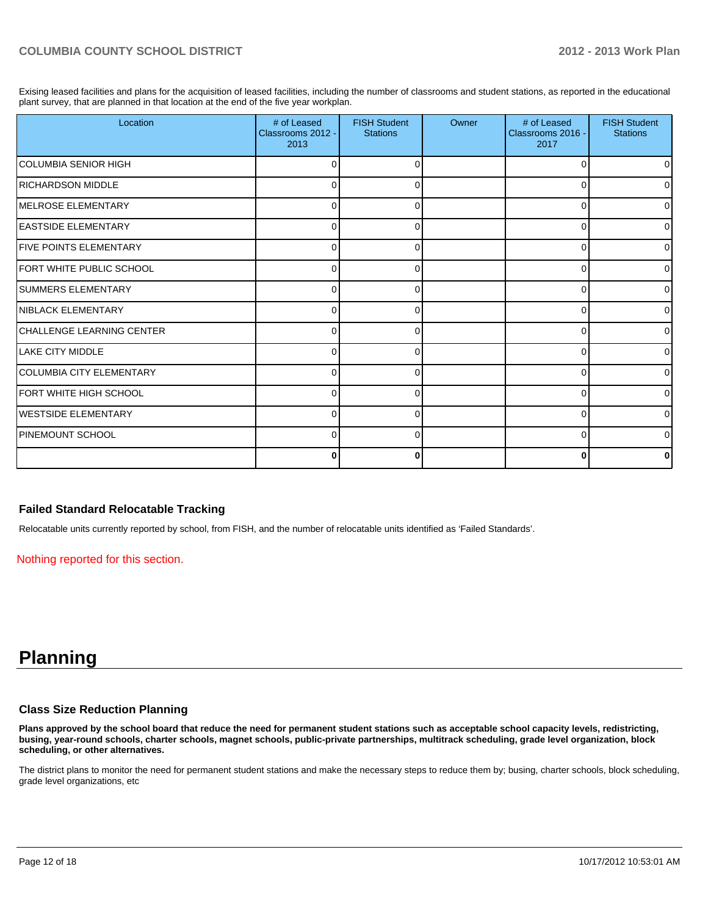Exising leased facilities and plans for the acquisition of leased facilities, including the number of classrooms and student stations, as reported in the educational plant survey, that are planned in that location at the end of the five year workplan.

| Location                       | # of Leased<br>Classrooms 2012 -<br>2013 | <b>FISH Student</b><br><b>Stations</b> | Owner | # of Leased<br>Classrooms 2016 -<br>2017 | <b>FISH Student</b><br><b>Stations</b> |
|--------------------------------|------------------------------------------|----------------------------------------|-------|------------------------------------------|----------------------------------------|
| İCOLUMBIA SENIOR HIGH          | o                                        | $\Omega$                               |       | $\Omega$                                 | 0                                      |
| <b>IRICHARDSON MIDDLE</b>      | n                                        |                                        |       | 0                                        |                                        |
| <b>IMELROSE ELEMENTARY</b>     | o                                        |                                        |       | 0                                        |                                        |
| <b>IEASTSIDE ELEMENTARY</b>    | 0                                        | 0                                      |       | $\overline{0}$                           | 0                                      |
| <b>IFIVE POINTS ELEMENTARY</b> | 0                                        | 0                                      |       | 0                                        | <sup>0</sup>                           |
| FORT WHITE PUBLIC SCHOOL       | 0                                        | $\Omega$                               |       | 0                                        | <sup>0</sup>                           |
| <b>SUMMERS ELEMENTARY</b>      | 0                                        |                                        |       | $\Omega$                                 |                                        |
| <b>INIBLACK ELEMENTARY</b>     | 0                                        |                                        |       | $\Omega$                                 |                                        |
| CHALLENGE LEARNING CENTER      | 0                                        | 0                                      |       | 0                                        | 0                                      |
| <b>ILAKE CITY MIDDLE</b>       | 0                                        | $\Omega$                               |       | 0                                        | ∩                                      |
| COLUMBIA CITY ELEMENTARY       | 0                                        | O                                      |       | $\Omega$                                 | ∩                                      |
| FORT WHITE HIGH SCHOOL         | <sup>0</sup>                             | ∩                                      |       | $\Omega$                                 | U                                      |
| WESTSIDE ELEMENTARY            | 0                                        | n                                      |       | $\Omega$                                 |                                        |
| PINEMOUNT SCHOOL               | 0                                        | 0                                      |       | 0                                        | <sup>0</sup>                           |
|                                | 0                                        | 0                                      |       | $\bf{0}$                                 |                                        |

### **Failed Standard Relocatable Tracking**

Relocatable units currently reported by school, from FISH, and the number of relocatable units identified as 'Failed Standards'.

Nothing reported for this section.

# **Planning**

### **Class Size Reduction Planning**

**Plans approved by the school board that reduce the need for permanent student stations such as acceptable school capacity levels, redistricting, busing, year-round schools, charter schools, magnet schools, public-private partnerships, multitrack scheduling, grade level organization, block scheduling, or other alternatives.**

The district plans to monitor the need for permanent student stations and make the necessary steps to reduce them by; busing, charter schools, block scheduling, grade level organizations, etc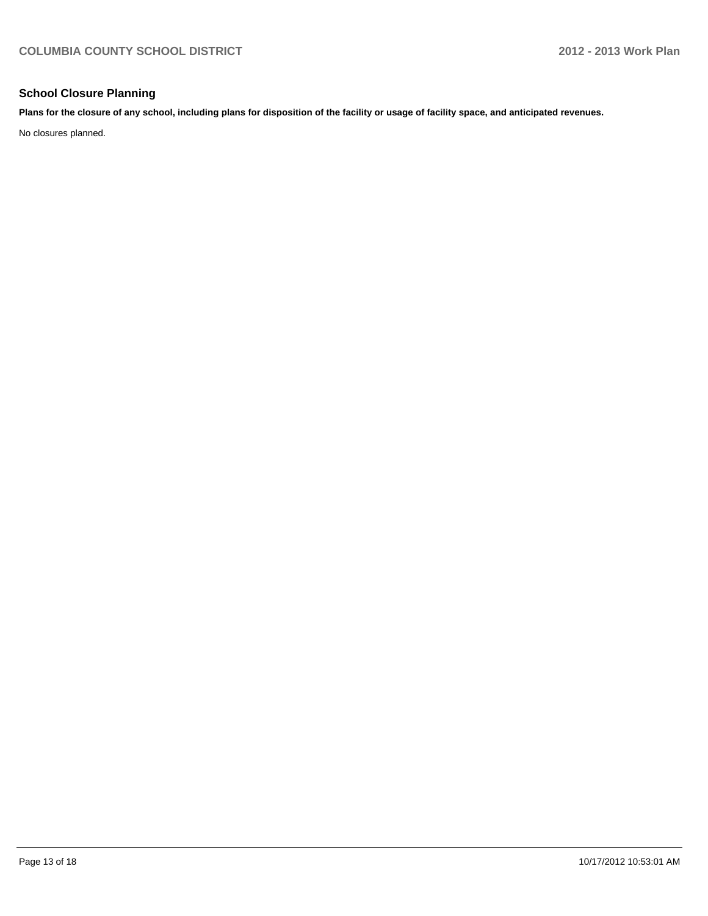## **School Closure Planning**

**Plans for the closure of any school, including plans for disposition of the facility or usage of facility space, and anticipated revenues.**

No closures planned.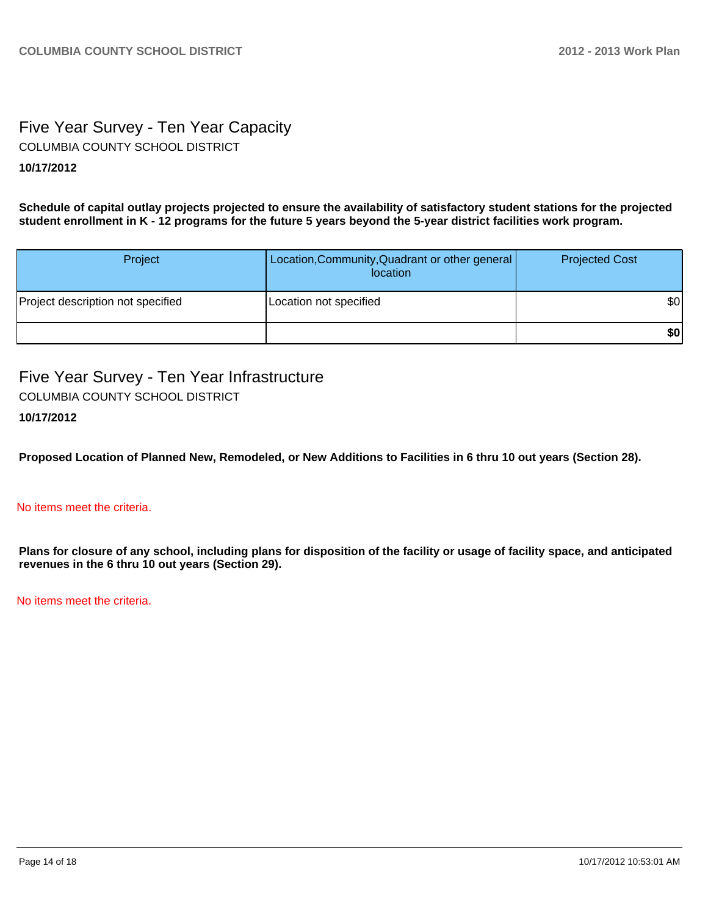# Five Year Survey - Ten Year Capacity **10/17/2012** COLUMBIA COUNTY SCHOOL DISTRICT

**Schedule of capital outlay projects projected to ensure the availability of satisfactory student stations for the projected student enrollment in K - 12 programs for the future 5 years beyond the 5-year district facilities work program.**

| Project                           | Location, Community, Quadrant or other general<br>location | <b>Projected Cost</b> |
|-----------------------------------|------------------------------------------------------------|-----------------------|
| Project description not specified | Location not specified                                     | \$0                   |
|                                   |                                                            | \$0                   |

Five Year Survey - Ten Year Infrastructure COLUMBIA COUNTY SCHOOL DISTRICT

# **10/17/2012**

**Proposed Location of Planned New, Remodeled, or New Additions to Facilities in 6 thru 10 out years (Section 28).**

### No items meet the criteria.

**Plans for closure of any school, including plans for disposition of the facility or usage of facility space, and anticipated revenues in the 6 thru 10 out years (Section 29).**

No items meet the criteria.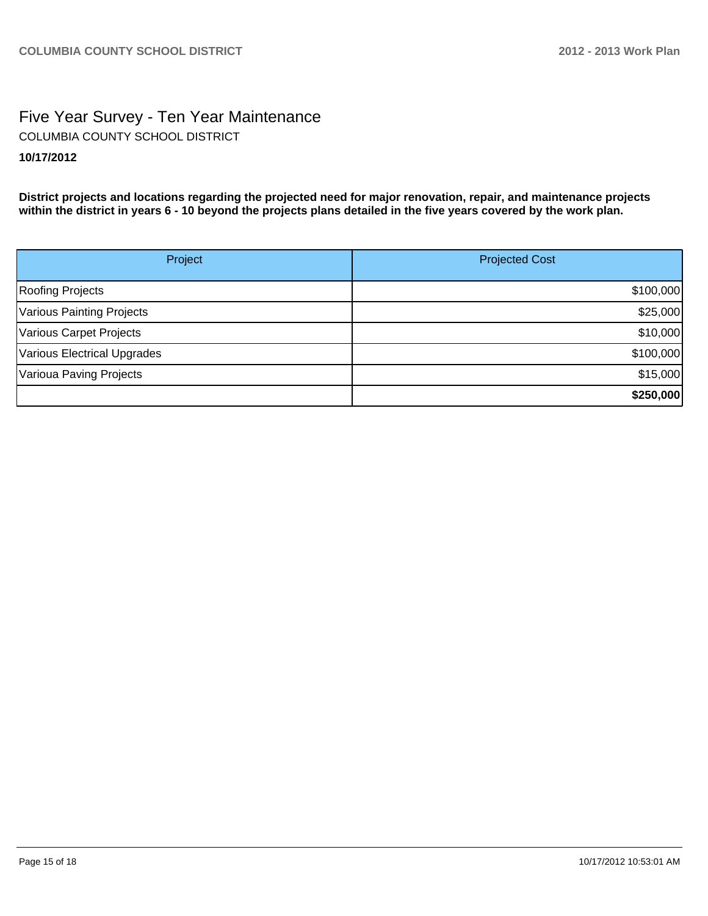# Five Year Survey - Ten Year Maintenance **10/17/2012** COLUMBIA COUNTY SCHOOL DISTRICT

**District projects and locations regarding the projected need for major renovation, repair, and maintenance projects within the district in years 6 - 10 beyond the projects plans detailed in the five years covered by the work plan.**

| Project                     | <b>Projected Cost</b> |
|-----------------------------|-----------------------|
| Roofing Projects            | \$100,000             |
| Various Painting Projects   | \$25,000              |
| Various Carpet Projects     | \$10,000              |
| Various Electrical Upgrades | \$100,000             |
| Varioua Paving Projects     | \$15,000              |
|                             | \$250,000             |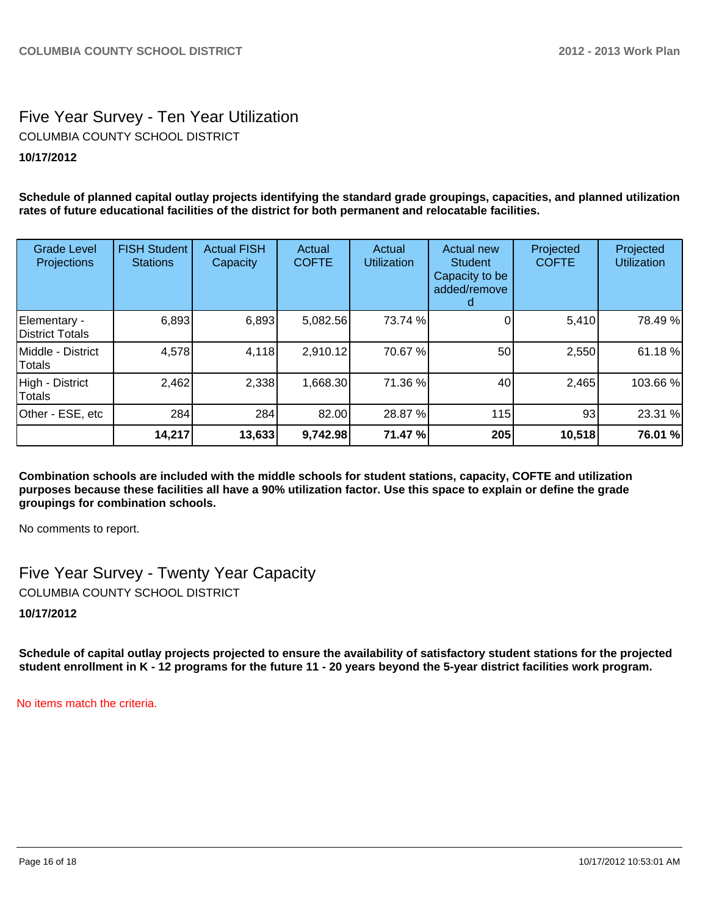# Five Year Survey - Ten Year Utilization **10/17/2012** COLUMBIA COUNTY SCHOOL DISTRICT

**Schedule of planned capital outlay projects identifying the standard grade groupings, capacities, and planned utilization rates of future educational facilities of the district for both permanent and relocatable facilities.**

| <b>Grade Level</b><br>Projections | <b>FISH Student</b><br><b>Stations</b> | <b>Actual FISH</b><br>Capacity | Actual<br><b>COFTE</b> | Actual<br><b>Utilization</b> | Actual new<br><b>Student</b><br>Capacity to be<br>added/remove | Projected<br><b>COFTE</b> | Projected<br><b>Utilization</b> |
|-----------------------------------|----------------------------------------|--------------------------------|------------------------|------------------------------|----------------------------------------------------------------|---------------------------|---------------------------------|
| Elementary -<br>District Totals   | 6,893                                  | 6,893                          | 5,082.56               | 73.74 %                      |                                                                | 5,410                     | 78.49 %                         |
| IMiddle - District<br>Totals      | 4,578                                  | 4,118                          | 2,910.12               | 70.67 %                      | 50                                                             | 2,550                     | 61.18 %                         |
| High - District<br>Totals         | 2,462                                  | 2,338                          | 1,668.30               | 71.36 %                      | 40                                                             | 2,465                     | 103.66%                         |
| Other - ESE, etc                  | 284                                    | 284                            | 82.00                  | 28.87 %                      | 115                                                            | 93                        | 23.31 %                         |
|                                   | 14,217                                 | 13,633                         | 9,742.98               | 71.47 %                      | 205                                                            | 10,518                    | 76.01 %                         |

**Combination schools are included with the middle schools for student stations, capacity, COFTE and utilization purposes because these facilities all have a 90% utilization factor. Use this space to explain or define the grade groupings for combination schools.**

No comments to report.

Five Year Survey - Twenty Year Capacity COLUMBIA COUNTY SCHOOL DISTRICT

**10/17/2012**

**Schedule of capital outlay projects projected to ensure the availability of satisfactory student stations for the projected student enrollment in K - 12 programs for the future 11 - 20 years beyond the 5-year district facilities work program.**

No items match the criteria.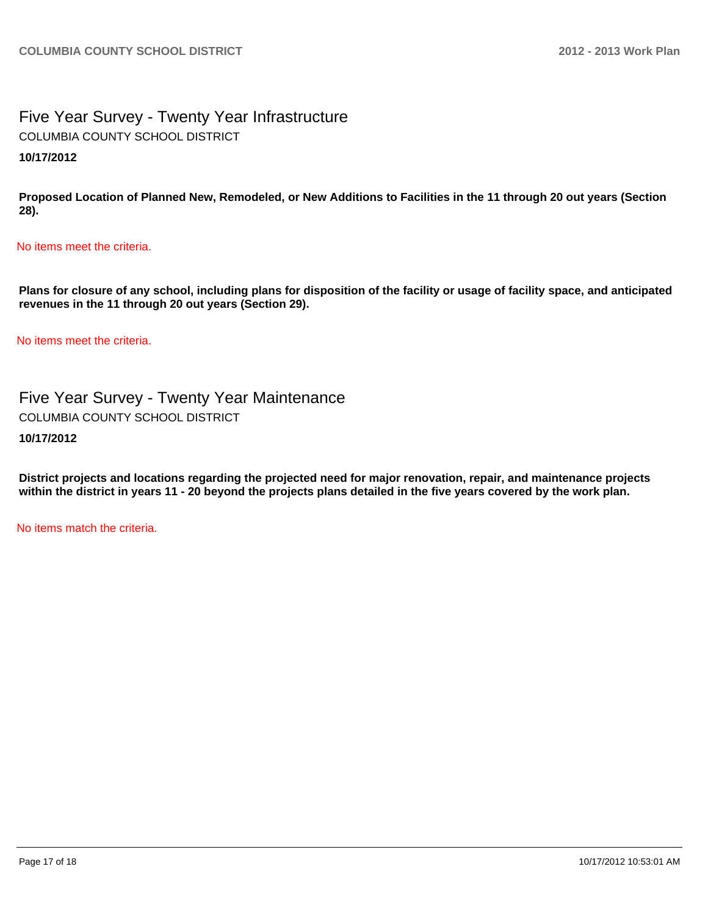Five Year Survey - Twenty Year Infrastructure **10/17/2012** COLUMBIA COUNTY SCHOOL DISTRICT

**Proposed Location of Planned New, Remodeled, or New Additions to Facilities in the 11 through 20 out years (Section 28).**

No items meet the criteria.

**Plans for closure of any school, including plans for disposition of the facility or usage of facility space, and anticipated revenues in the 11 through 20 out years (Section 29).**

No items meet the criteria.

Five Year Survey - Twenty Year Maintenance **10/17/2012** COLUMBIA COUNTY SCHOOL DISTRICT

**District projects and locations regarding the projected need for major renovation, repair, and maintenance projects within the district in years 11 - 20 beyond the projects plans detailed in the five years covered by the work plan.**

No items match the criteria.